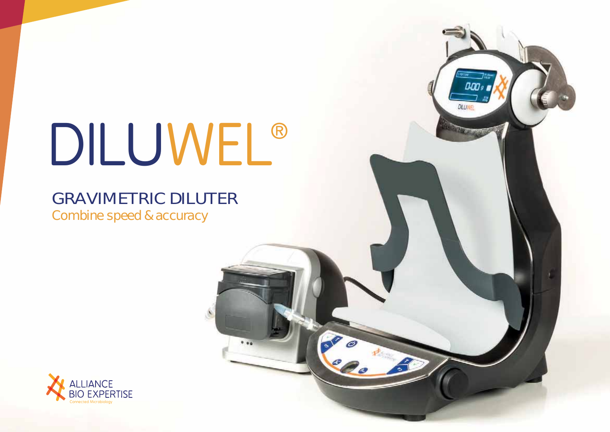# DILUWEL ®

 $0.96$ 

**D.OO** 

**DELIVER** 

# GRAVIMETRIC DILUTER

Combine speed & accuracy

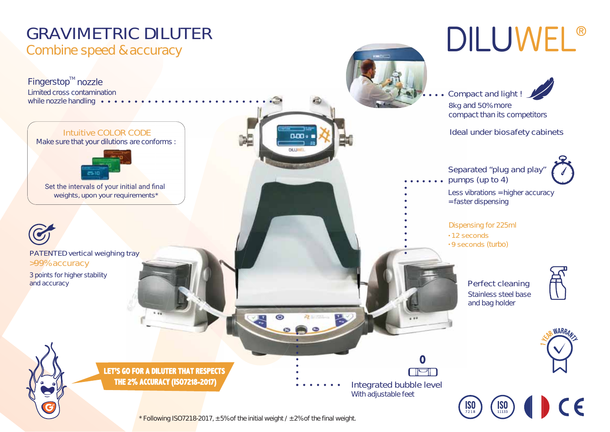

*\* Following ISO7218-2017, ± 5% of the initial weight / ± 2% of the final weight.*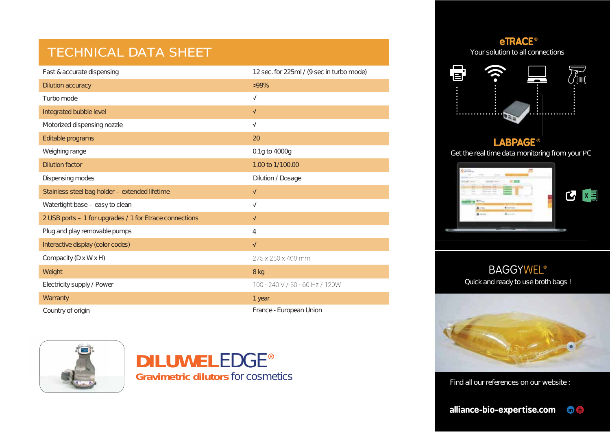## TECHNICAL DATA SHEET

| Fast & accurate dispensing                              | 12 sec. for 225ml / (9 sec in turbo mode) |
|---------------------------------------------------------|-------------------------------------------|
| Dilution accuracy                                       | $>99\%$                                   |
| Turbo mode                                              | $\sqrt{}$                                 |
| Integrated bubble level                                 | $\sqrt{}$                                 |
| Motorized dispensing nozzle                             | $\sqrt{ }$                                |
| Editable programs                                       | 20                                        |
| Weighing range                                          | 0.1g to 4000g                             |
| <b>Dilution factor</b>                                  | 1.00 to 1/100.00                          |
| Dispensing modes                                        | Dilution / Dosage                         |
| Stainless steel bag holder - extended lifetime          | $\sqrt{}$                                 |
| Watertight base - easy to clean                         | $\sqrt{}$                                 |
| 2 USB ports - 1 for upgrades / 1 for Etrace connections | $\sqrt{}$                                 |
| Plug and play removable pumps                           | $\overline{4}$                            |
| Interactive display (color codes)                       | $\sqrt{}$                                 |
| Compacity (D x W x H)                                   | 275 x 250 x 400 mm                        |
| Weight                                                  | 8 kg                                      |
| Electricity supply / Power                              | 100 - 240 V / 50 - 60 Hz / 120W           |
| Warranty                                                | 1 year                                    |
| Country of origin                                       | France - European Union                   |



## **DILUWEL** EDGE **Gravimetric dilutors** for cosmetics

Your solution to all connections **eTRACE**  ®



#### **LABPAGE**®

Get the real time data monitoring from your PC P



#### Quick and ready to use broth bags ! BAGGYWEL ®



Find all our references on our website :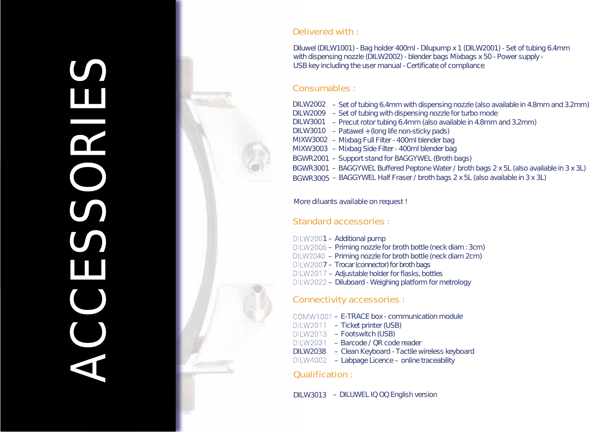

#### Delivered with :

Diluwel (DILW1001) - Bag holder 400ml - Dilupump x 1 (DILW2001) - Set of tubing 6.4mm with dispensing nozzle (DILW2002) - blender bags Mixbags x 50 - Power supply -USB key including the user manual - Certificate of compliance

- DILW2002 Set of tubing 6.4mm with dispensing nozzle (also available in 4.8mm and 3.2mm)
- DILW2009 Set of tubing with dispensing nozzle for turbo mode
- DILW3001 Precut rotor tubing 6.4mm (also available in 4.8mm and 3.2mm)
- DILW3010 Patawel + (long life non-sticky pads)
- MIXW3002 Mixbag Full Filter 400ml blender bag
- MIXW3003 Mixbag Side Filter 400ml blender bag
- BGWR2001 Support stand for BAGGYWEL (Broth bags)
- BGWR3001 BAGGYWEL Buffered Peptone Water / broth bags 2 x 5L (also available in 3 x 3L)
- BGWR3005 BAGGYWEL Half Fraser / broth bags 2 x 5L (also available in 3 x 3L)

#### *More diluants available on request !*

### Standard accessories :

 $DILW2001 - Additional pump$  – Priming nozzle for broth bottle (neck diam : 3cm) – Priming nozzle for broth bottle (neck diam 2cm) – Adjustable holder for flasks, bottles – Diluboard - Weighing platform for metrology DILW2007 – Trocar (connector) for broth bags

### Connectivity accessories :

- E-TRACE box communication module
- Ticket printer (USB)
- DILW2013 Footswitch (USB)
	- Barcode / QR code reader
- DILW2038 Clean Keyboard Tactile wireless keyboard
- Labpage Licence online traceability

### Qualification :

DILW3013 – DILUWEL IQ OQ English version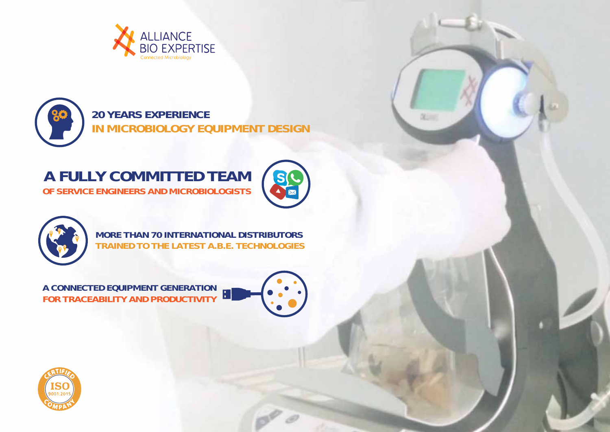

**20 YEARS EXPERIENCE IN MICROBIOLOGY EQUIPMENT DESIGN**

## **OF SERVICE ENGINEERS AND MICROBIOLOGISTS A FULLY COMMITTED TEAM**



**DELIVER** 



**MORE THAN 70 INTERNATIONAL DISTRIBUTORS TRAINED TO THE LATEST A.B.E. TECHNOLOGIES**

**FOR TRACEABILITY AND PRODUCTIVITY A CONNECTED EQUIPMENT GENERATION**